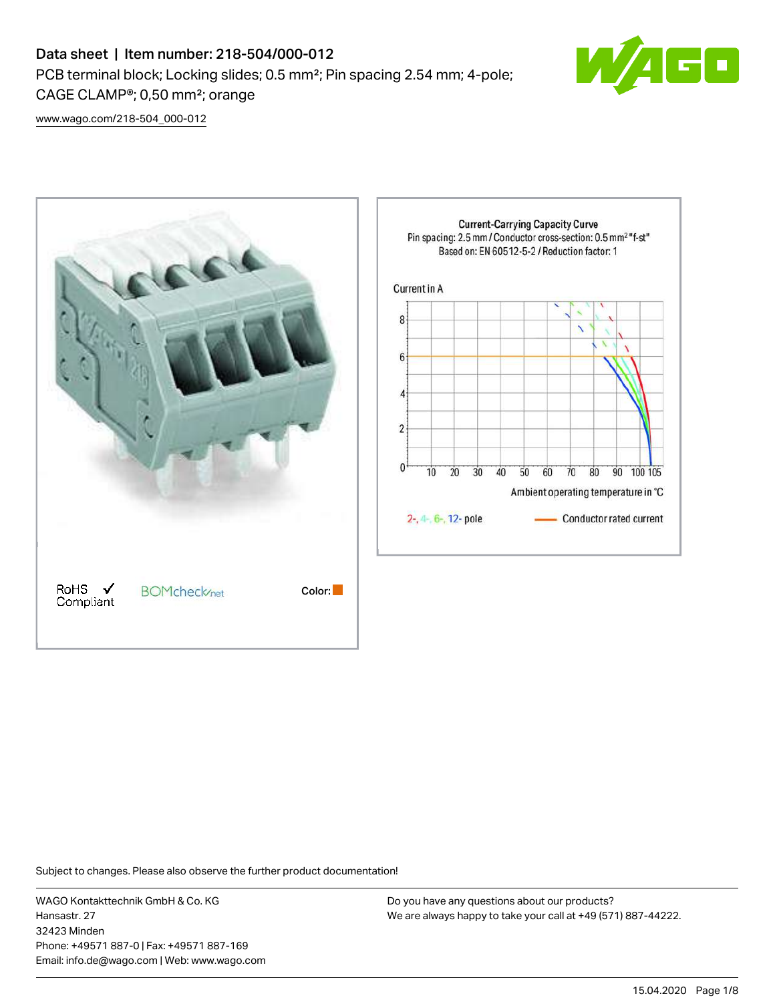# Data sheet | Item number: 218-504/000-012 PCB terminal block; Locking slides; 0.5 mm²; Pin spacing 2.54 mm; 4-pole; CAGE CLAMP®; 0,50 mm²; orange



[www.wago.com/218-504\\_000-012](http://www.wago.com/218-504_000-012)



Subject to changes. Please also observe the further product documentation!

WAGO Kontakttechnik GmbH & Co. KG Hansastr. 27 32423 Minden Phone: +49571 887-0 | Fax: +49571 887-169 Email: info.de@wago.com | Web: www.wago.com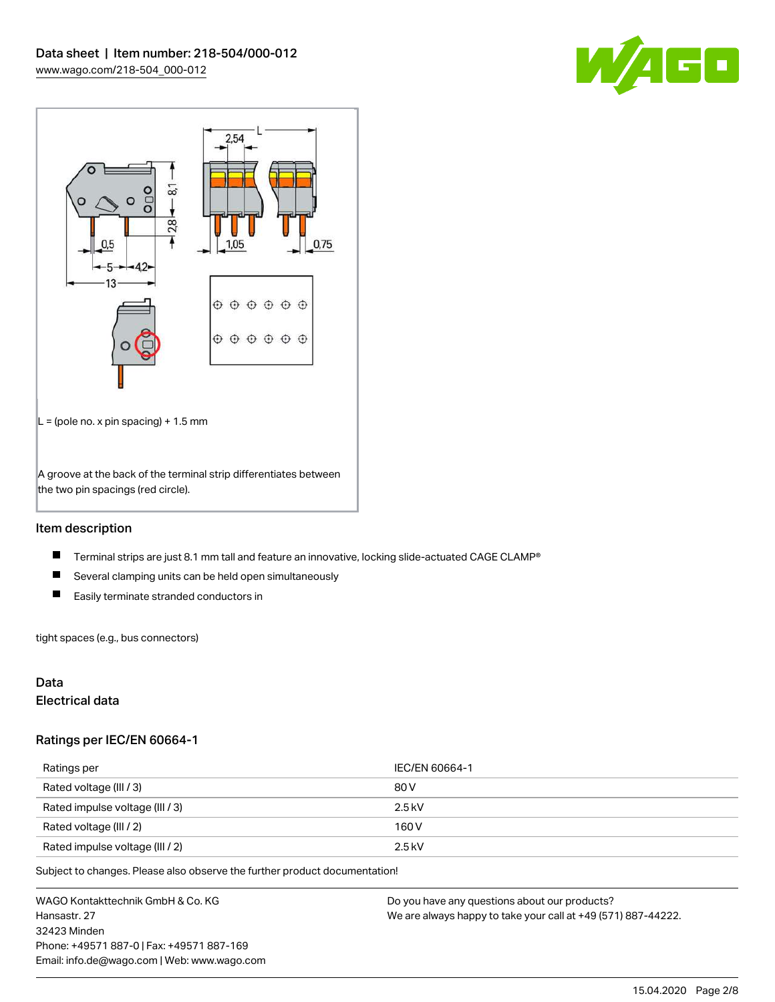



### Item description

- $\blacksquare$ Terminal strips are just 8.1 mm tall and feature an innovative, locking slide-actuated CAGE CLAMP®
- $\blacksquare$ Several clamping units can be held open simultaneously
- $\blacksquare$ Easily terminate stranded conductors in

tight spaces (e.g., bus connectors)

#### Data

### Electrical data

#### Ratings per IEC/EN 60664-1

| Ratings per                     | IEC/EN 60664-1 |
|---------------------------------|----------------|
| Rated voltage (III / 3)         | 80 V           |
| Rated impulse voltage (III / 3) | $2.5$ kV       |
| Rated voltage (III / 2)         | 160 V          |
| Rated impulse voltage (III / 2) | $2.5$ kV       |

Subject to changes. Please also observe the further product documentation!

WAGO Kontakttechnik GmbH & Co. KG Hansastr. 27 32423 Minden Phone: +49571 887-0 | Fax: +49571 887-169 Email: info.de@wago.com | Web: www.wago.com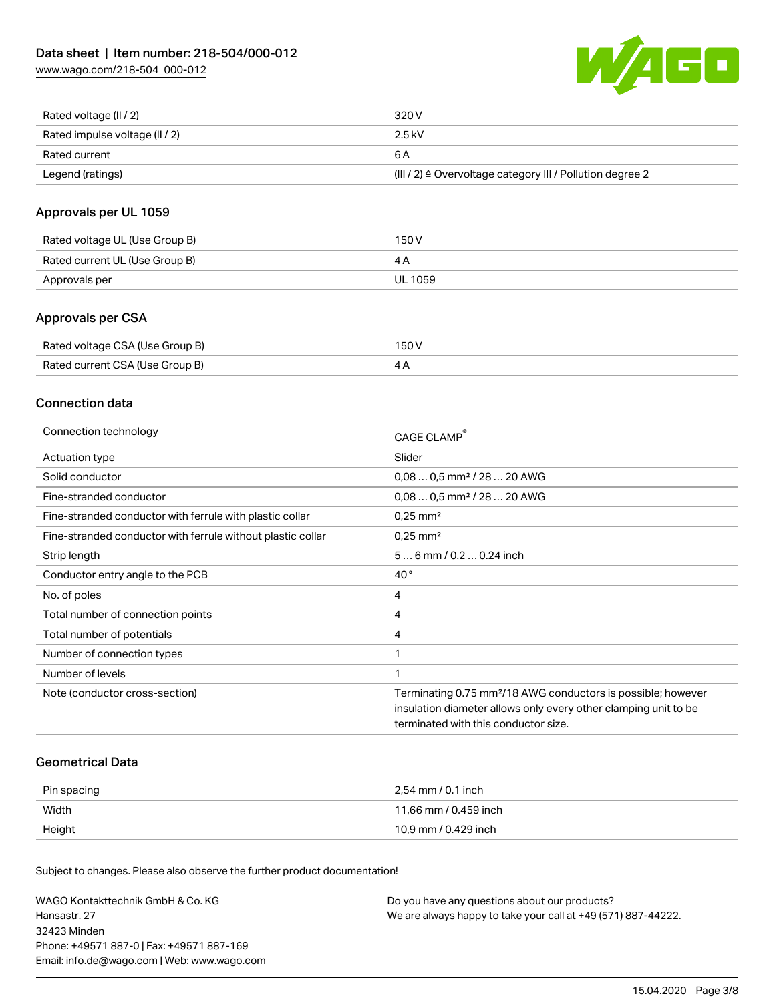[www.wago.com/218-504\\_000-012](http://www.wago.com/218-504_000-012)



| Rated voltage (II / 2)         | 320 V                                                                 |
|--------------------------------|-----------------------------------------------------------------------|
| Rated impulse voltage (II / 2) | 2.5 kV                                                                |
| Rated current                  | 6 A                                                                   |
| Legend (ratings)               | $(III / 2)$ $\triangle$ Overvoltage category III / Pollution degree 2 |

### Approvals per UL 1059

| Rated voltage UL (Use Group B) | 150 V   |
|--------------------------------|---------|
| Rated current UL (Use Group B) |         |
| Approvals per                  | UL 1059 |

### Approvals per CSA

| Rated voltage CSA (Use Group B) | 150 V |
|---------------------------------|-------|
| Rated current CSA (Use Group B) |       |

#### Connection data

| Connection technology                                       | CAGE CLAMP                                                               |
|-------------------------------------------------------------|--------------------------------------------------------------------------|
| Actuation type                                              | Slider                                                                   |
| Solid conductor                                             | $0.080.5$ mm <sup>2</sup> / 28  20 AWG                                   |
| Fine-stranded conductor                                     | $0.080.5$ mm <sup>2</sup> / 28  20 AWG                                   |
| Fine-stranded conductor with ferrule with plastic collar    | $0.25$ mm <sup>2</sup>                                                   |
| Fine-stranded conductor with ferrule without plastic collar | $0.25$ mm <sup>2</sup>                                                   |
| Strip length                                                | 56 mm / 0.2 0.24 inch                                                    |
| Conductor entry angle to the PCB                            | $40^{\circ}$                                                             |
| No. of poles                                                | 4                                                                        |
| Total number of connection points                           | 4                                                                        |
| Total number of potentials                                  | 4                                                                        |
| Number of connection types                                  |                                                                          |
| Number of levels                                            |                                                                          |
| Note (conductor cross-section)                              | Terminating 0.75 mm <sup>2</sup> /18 AWG conductors is possible; however |
|                                                             | insulation diameter allows only every other clamping unit to be          |
|                                                             | terminated with this conductor size.                                     |
|                                                             |                                                                          |

#### Geometrical Data

| Pin spacing | 2,54 mm / 0.1 inch    |
|-------------|-----------------------|
| Width       | 11,66 mm / 0.459 inch |
| Height      | 10,9 mm / 0.429 inch  |

Subject to changes. Please also observe the further product documentation!

| WAGO Kontakttechnik GmbH & Co. KG           | Do you have any questions about our products?                 |
|---------------------------------------------|---------------------------------------------------------------|
| Hansastr. 27                                | We are always happy to take your call at +49 (571) 887-44222. |
| 32423 Minden                                |                                                               |
| Phone: +49571 887-01 Fax: +49571 887-169    |                                                               |
| Email: info.de@wago.com   Web: www.wago.com |                                                               |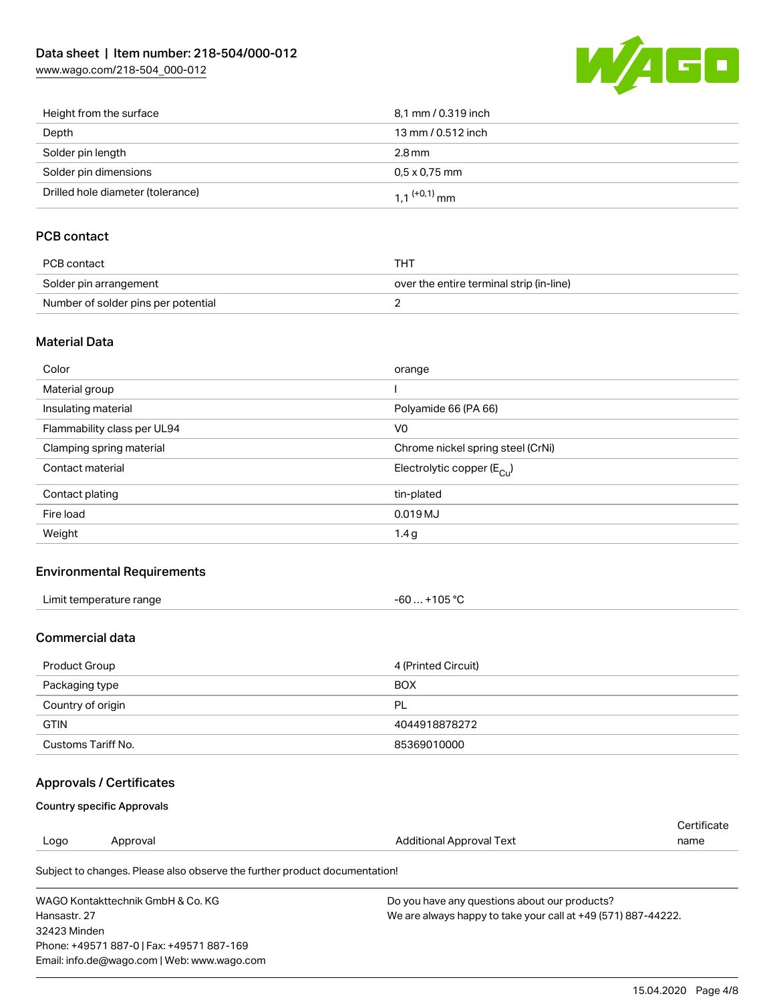[www.wago.com/218-504\\_000-012](http://www.wago.com/218-504_000-012)



| Height from the surface           | 8.1 mm / 0.319 inch        |
|-----------------------------------|----------------------------|
| Depth                             | 13 mm / 0.512 inch         |
| Solder pin length                 | 2.8 mm                     |
| Solder pin dimensions             | $0.5 \times 0.75$ mm       |
| Drilled hole diameter (tolerance) | $1.1$ <sup>(+0,1)</sup> mm |

## PCB contact

| PCB contact                         | THT                                      |
|-------------------------------------|------------------------------------------|
| Solder pin arrangement              | over the entire terminal strip (in-line) |
| Number of solder pins per potential |                                          |

#### Material Data

| Color                       | orange                                |
|-----------------------------|---------------------------------------|
| Material group              |                                       |
| Insulating material         | Polyamide 66 (PA 66)                  |
| Flammability class per UL94 | V <sub>0</sub>                        |
| Clamping spring material    | Chrome nickel spring steel (CrNi)     |
| Contact material            | Electrolytic copper $(E_{\text{Cl}})$ |
| Contact plating             | tin-plated                            |
| Fire load                   | 0.019 MJ                              |
| Weight                      | 1.4 <sub>g</sub>                      |

#### Environmental Requirements

| Limit temperature range<br>. | 105 °C<br>-60<br>____<br>____ |
|------------------------------|-------------------------------|
|------------------------------|-------------------------------|

### Commercial data

| Product Group      | 4 (Printed Circuit) |
|--------------------|---------------------|
| Packaging type     | <b>BOX</b>          |
| Country of origin  | PL                  |
| <b>GTIN</b>        | 4044918878272       |
| Customs Tariff No. | 85369010000         |

# Approvals / Certificates

#### Country specific Approvals

Email: info.de@wago.com | Web: www.wago.com

|                                          |                                                                            |                                                               | Certificate |
|------------------------------------------|----------------------------------------------------------------------------|---------------------------------------------------------------|-------------|
| Logo                                     | Approval                                                                   | Additional Approval Text                                      | name        |
|                                          | Subject to changes. Please also observe the further product documentation! |                                                               |             |
| WAGO Kontakttechnik GmbH & Co. KG        |                                                                            | Do you have any questions about our products?                 |             |
| Hansastr, 27                             |                                                                            | We are always happy to take your call at +49 (571) 887-44222. |             |
| 32423 Minden                             |                                                                            |                                                               |             |
| Phone: +49571 887-01 Fax: +49571 887-169 |                                                                            |                                                               |             |

15.04.2020 Page 4/8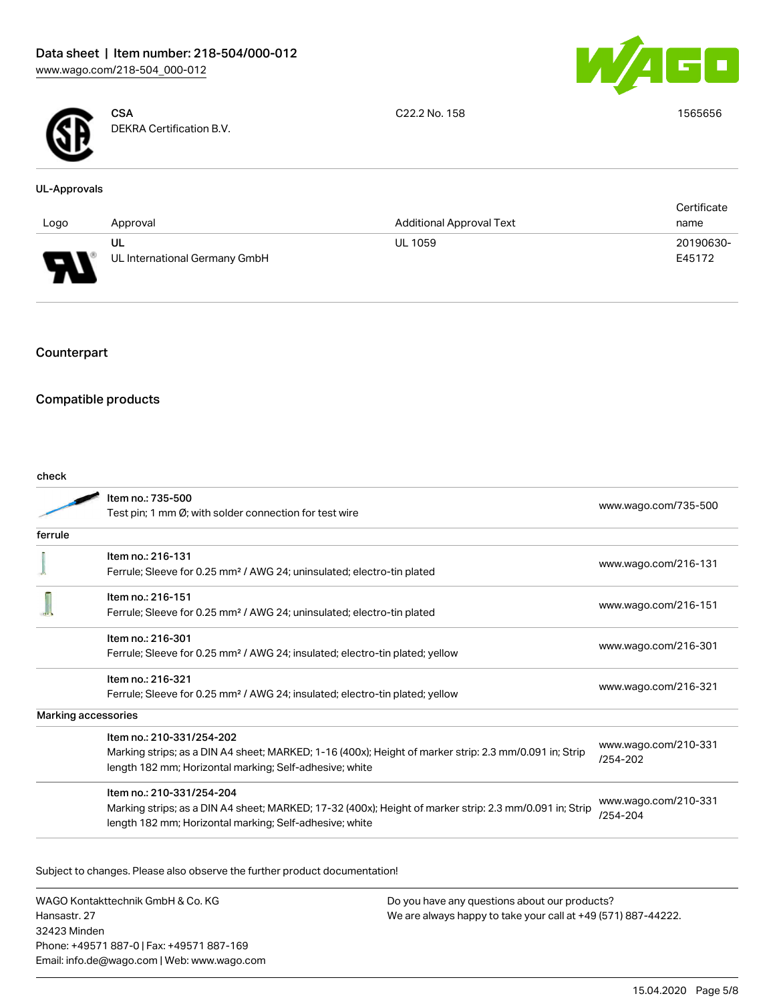



**CSA** DEKRA Certification B.V. C22.2 No. 158 1565656

#### UL-Approvals

|                                      |                               |                                 | Certificate |
|--------------------------------------|-------------------------------|---------------------------------|-------------|
| Logo                                 | Approval                      | <b>Additional Approval Text</b> | name        |
|                                      | UL                            | <b>UL 1059</b>                  | 20190630-   |
| o<br>$\overline{\phantom{a}}$<br>. . | UL International Germany GmbH |                                 | E45172      |

## Counterpart

### Compatible products

check

| ๛๛      |                                                                                                         |                                  |  |
|---------|---------------------------------------------------------------------------------------------------------|----------------------------------|--|
|         | Item no.: 735-500<br>Test pin; 1 mm Ø; with solder connection for test wire                             | www.wago.com/735-500             |  |
| ferrule |                                                                                                         |                                  |  |
|         | Item no.: 216-131                                                                                       | www.wago.com/216-131             |  |
|         | Ferrule; Sleeve for 0.25 mm <sup>2</sup> / AWG 24; uninsulated; electro-tin plated                      |                                  |  |
|         | Item no.: 216-151                                                                                       |                                  |  |
|         | Ferrule; Sleeve for 0.25 mm <sup>2</sup> / AWG 24; uninsulated; electro-tin plated                      | www.wago.com/216-151             |  |
|         | Item no.: 216-301                                                                                       |                                  |  |
|         | Ferrule; Sleeve for 0.25 mm <sup>2</sup> / AWG 24; insulated; electro-tin plated; yellow                | www.wago.com/216-301             |  |
|         | Item no.: 216-321                                                                                       |                                  |  |
|         | Ferrule; Sleeve for 0.25 mm <sup>2</sup> / AWG 24; insulated; electro-tin plated; yellow                | www.wago.com/216-321             |  |
|         | Marking accessories                                                                                     |                                  |  |
|         | Item no.: 210-331/254-202                                                                               |                                  |  |
|         | Marking strips; as a DIN A4 sheet; MARKED; 1-16 (400x); Height of marker strip: 2.3 mm/0.091 in; Strip  | www.wago.com/210-331<br>/254-202 |  |
|         | length 182 mm; Horizontal marking; Self-adhesive; white                                                 |                                  |  |
|         | Item no.: 210-331/254-204                                                                               |                                  |  |
|         | Marking strips; as a DIN A4 sheet; MARKED; 17-32 (400x); Height of marker strip: 2.3 mm/0.091 in; Strip | www.wago.com/210-331<br>/254-204 |  |
|         | length 182 mm; Horizontal marking; Self-adhesive; white                                                 |                                  |  |
|         |                                                                                                         |                                  |  |

Subject to changes. Please also observe the further product documentation!

WAGO Kontakttechnik GmbH & Co. KG Hansastr. 27 32423 Minden Phone: +49571 887-0 | Fax: +49571 887-169 Email: info.de@wago.com | Web: www.wago.com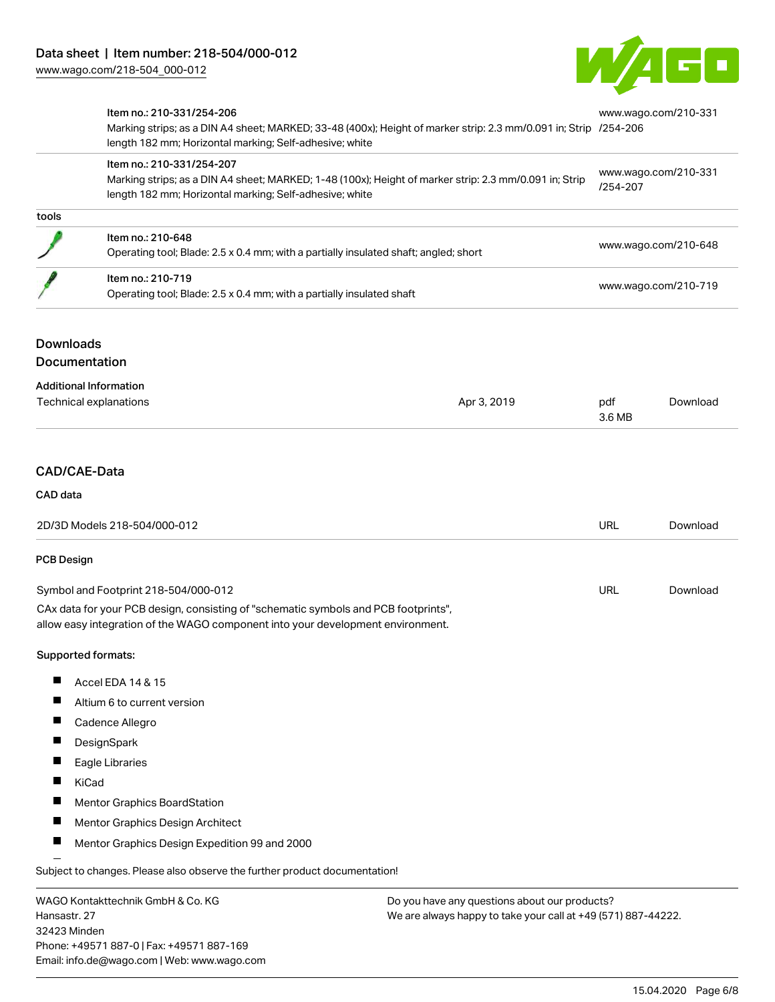32423 Minden

Phone: +49571 887-0 | Fax: +49571 887-169 Email: info.de@wago.com | Web: www.wago.com



|                                                   | Item no.: 210-331/254-206<br>Marking strips; as a DIN A4 sheet; MARKED; 33-48 (400x); Height of marker strip: 2.3 mm/0.091 in; Strip /254-206<br>length 182 mm; Horizontal marking; Self-adhesive; white<br>Item no.: 210-331/254-207<br>Marking strips; as a DIN A4 sheet; MARKED; 1-48 (100x); Height of marker strip: 2.3 mm/0.091 in; Strip<br>length 182 mm; Horizontal marking; Self-adhesive; white |             | www.wago.com/210-331<br>www.wago.com/210-331<br>/254-207                                                       |          |  |
|---------------------------------------------------|------------------------------------------------------------------------------------------------------------------------------------------------------------------------------------------------------------------------------------------------------------------------------------------------------------------------------------------------------------------------------------------------------------|-------------|----------------------------------------------------------------------------------------------------------------|----------|--|
|                                                   |                                                                                                                                                                                                                                                                                                                                                                                                            |             |                                                                                                                |          |  |
| tools                                             |                                                                                                                                                                                                                                                                                                                                                                                                            |             |                                                                                                                |          |  |
|                                                   | Item no.: 210-648<br>Operating tool; Blade: 2.5 x 0.4 mm; with a partially insulated shaft; angled; short                                                                                                                                                                                                                                                                                                  |             | www.wago.com/210-648                                                                                           |          |  |
|                                                   | Item no.: 210-719<br>Operating tool; Blade: 2.5 x 0.4 mm; with a partially insulated shaft                                                                                                                                                                                                                                                                                                                 |             | www.wago.com/210-719                                                                                           |          |  |
| <b>Downloads</b><br>Documentation                 |                                                                                                                                                                                                                                                                                                                                                                                                            |             |                                                                                                                |          |  |
|                                                   | <b>Additional Information</b><br><b>Technical explanations</b>                                                                                                                                                                                                                                                                                                                                             | Apr 3, 2019 | pdf<br>3.6 MB                                                                                                  | Download |  |
| CAD/CAE-Data                                      |                                                                                                                                                                                                                                                                                                                                                                                                            |             |                                                                                                                |          |  |
| CAD data                                          |                                                                                                                                                                                                                                                                                                                                                                                                            |             |                                                                                                                |          |  |
| 2D/3D Models 218-504/000-012                      |                                                                                                                                                                                                                                                                                                                                                                                                            |             | URL                                                                                                            | Download |  |
| <b>PCB Design</b>                                 |                                                                                                                                                                                                                                                                                                                                                                                                            |             |                                                                                                                |          |  |
|                                                   | Symbol and Footprint 218-504/000-012                                                                                                                                                                                                                                                                                                                                                                       |             | URL                                                                                                            | Download |  |
|                                                   | CAx data for your PCB design, consisting of "schematic symbols and PCB footprints",<br>allow easy integration of the WAGO component into your development environment.                                                                                                                                                                                                                                     |             |                                                                                                                |          |  |
|                                                   | Supported formats:                                                                                                                                                                                                                                                                                                                                                                                         |             |                                                                                                                |          |  |
|                                                   | Accel EDA 14 & 15                                                                                                                                                                                                                                                                                                                                                                                          |             |                                                                                                                |          |  |
|                                                   | Altium 6 to current version                                                                                                                                                                                                                                                                                                                                                                                |             |                                                                                                                |          |  |
|                                                   | Cadence Allegro                                                                                                                                                                                                                                                                                                                                                                                            |             |                                                                                                                |          |  |
|                                                   | DesignSpark                                                                                                                                                                                                                                                                                                                                                                                                |             |                                                                                                                |          |  |
|                                                   | Eagle Libraries                                                                                                                                                                                                                                                                                                                                                                                            |             |                                                                                                                |          |  |
|                                                   | KiCad                                                                                                                                                                                                                                                                                                                                                                                                      |             |                                                                                                                |          |  |
|                                                   | Mentor Graphics BoardStation                                                                                                                                                                                                                                                                                                                                                                               |             |                                                                                                                |          |  |
|                                                   | Mentor Graphics Design Architect                                                                                                                                                                                                                                                                                                                                                                           |             |                                                                                                                |          |  |
|                                                   | Mentor Graphics Design Expedition 99 and 2000                                                                                                                                                                                                                                                                                                                                                              |             |                                                                                                                |          |  |
|                                                   | Subject to changes. Please also observe the further product documentation!                                                                                                                                                                                                                                                                                                                                 |             |                                                                                                                |          |  |
| WAGO Kontakttechnik GmbH & Co. KG<br>Hansastr. 27 |                                                                                                                                                                                                                                                                                                                                                                                                            |             | Do you have any questions about our products?<br>We are always happy to take your call at +49 (571) 887-44222. |          |  |

15.04.2020 Page 6/8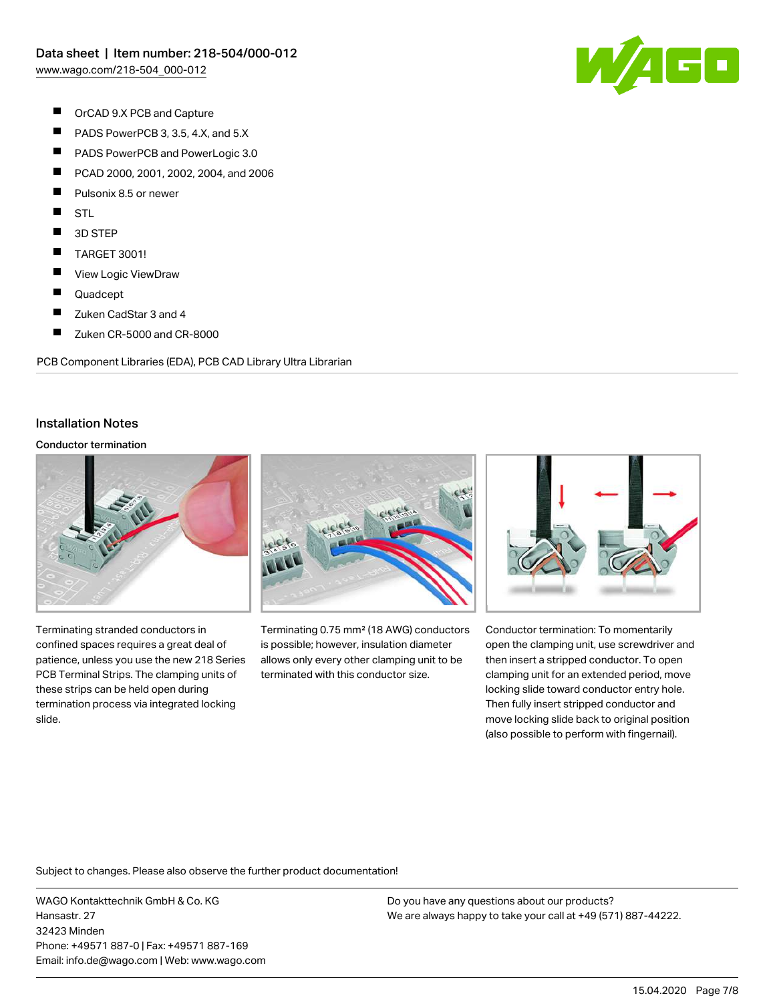

- $\blacksquare$ OrCAD 9.X PCB and Capture
- $\blacksquare$ PADS PowerPCB 3, 3.5, 4.X, and 5.X
- $\blacksquare$ PADS PowerPCB and PowerLogic 3.0
- $\blacksquare$ PCAD 2000, 2001, 2002, 2004, and 2006
- П Pulsonix 8.5 or newer
- П **STL**
- $\blacksquare$ 3D STEP
- $\blacksquare$ TARGET 3001!
- $\blacksquare$ View Logic ViewDraw
- П Quadcept
- $\blacksquare$ Zuken CadStar 3 and 4
- $\blacksquare$ Zuken CR-5000 and CR-8000

PCB Component Libraries (EDA), PCB CAD Library Ultra Librarian

#### Installation Notes

#### Conductor termination



Terminating stranded conductors in confined spaces requires a great deal of patience, unless you use the new 218 Series PCB Terminal Strips. The clamping units of these strips can be held open during termination process via integrated locking slide.



Terminating 0.75 mm² (18 AWG) conductors is possible; however, insulation diameter allows only every other clamping unit to be terminated with this conductor size.



Conductor termination: To momentarily open the clamping unit, use screwdriver and then insert a stripped conductor. To open clamping unit for an extended period, move locking slide toward conductor entry hole. Then fully insert stripped conductor and move locking slide back to original position (also possible to perform with fingernail).

Subject to changes. Please also observe the further product documentation!

WAGO Kontakttechnik GmbH & Co. KG Hansastr. 27 32423 Minden Phone: +49571 887-0 | Fax: +49571 887-169 Email: info.de@wago.com | Web: www.wago.com